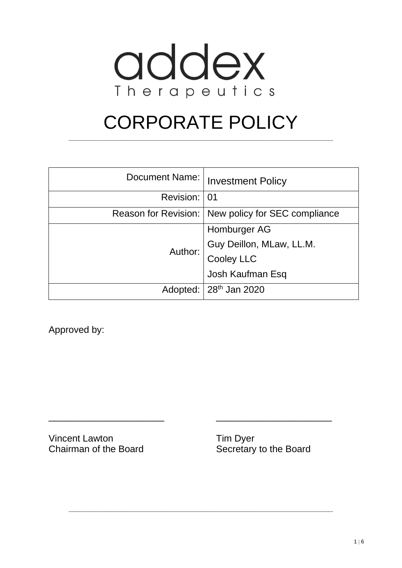

# CORPORATE POLICY

**\_\_\_\_\_\_\_\_\_\_\_\_\_\_\_\_\_\_\_\_\_\_\_\_\_\_\_\_\_\_\_\_\_\_\_\_\_\_\_\_\_\_\_\_\_\_\_\_\_\_\_\_\_\_\_\_\_\_\_\_\_\_\_\_**

| Document Name: | <b>Investment Policy</b>                             |
|----------------|------------------------------------------------------|
| Revision: 01   |                                                      |
|                | Reason for Revision:   New policy for SEC compliance |
| Author:        | Homburger AG                                         |
|                | Guy Deillon, MLaw, LL.M.                             |
|                | Cooley LLC                                           |
|                | Josh Kaufman Esq                                     |
|                | Adopted:   28 <sup>th</sup> Jan 2020                 |

\_\_\_\_\_\_\_\_\_\_\_\_\_\_\_\_\_\_\_\_\_\_ \_\_\_\_\_\_\_\_\_\_\_\_\_\_\_\_\_\_\_\_\_\_

**\_\_\_\_\_\_\_\_\_\_\_\_\_\_\_\_\_\_\_\_\_\_\_\_\_\_\_\_\_\_\_\_\_\_\_\_\_\_\_\_\_\_\_\_\_\_\_\_\_\_\_\_\_\_\_\_\_\_\_\_\_\_\_\_**

Approved by:

Vincent Lawton Tim Dyer Chairman of the Board Secretary to the Board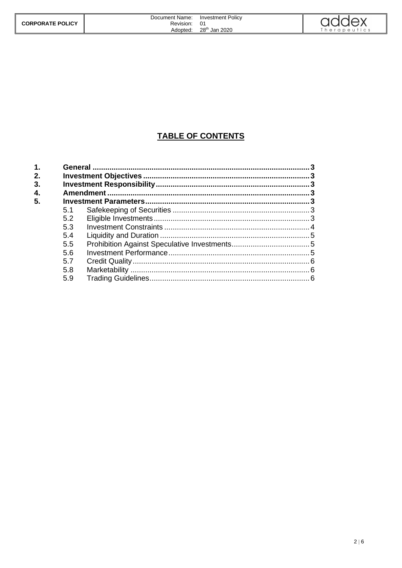|                         | Document Name: | <b>Investment Policy</b>  | <b>MUNUV</b> |
|-------------------------|----------------|---------------------------|--------------|
| <b>CORPORATE POLICY</b> | Revision:      | 01                        |              |
|                         | Adopted:       | 28 <sup>th</sup> Jan 2020 | `herapeutics |

## **TABLE OF CONTENTS**

| 5.1 |  |
|-----|--|
| 5.2 |  |
| 5.3 |  |
| 5.4 |  |
| 5.5 |  |
| 5.6 |  |
| 5.7 |  |
| 5.8 |  |
| 5.9 |  |
|     |  |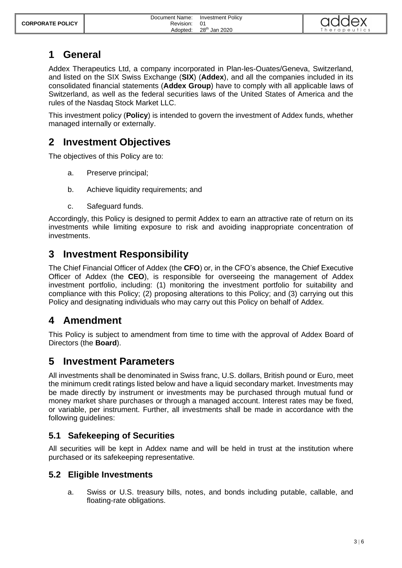# <span id="page-2-0"></span>**1 General**

Addex Therapeutics Ltd, a company incorporated in Plan-les-Ouates/Geneva, Switzerland, and listed on the SIX Swiss Exchange (**SIX**) (**Addex**), and all the companies included in its consolidated financial statements (**Addex Group**) have to comply with all applicable laws of Switzerland, as well as the federal securities laws of the United States of America and the rules of the Nasdaq Stock Market LLC.

This investment policy (**Policy**) is intended to govern the investment of Addex funds, whether managed internally or externally.

# <span id="page-2-1"></span>**2 Investment Objectives**

The objectives of this Policy are to:

- a. Preserve principal;
- b. Achieve liquidity requirements; and
- c. Safeguard funds.

Accordingly, this Policy is designed to permit Addex to earn an attractive rate of return on its investments while limiting exposure to risk and avoiding inappropriate concentration of investments.

# <span id="page-2-2"></span>**3 Investment Responsibility**

The Chief Financial Officer of Addex (the **CFO**) or, in the CFO's absence, the Chief Executive Officer of Addex (the **CEO**), is responsible for overseeing the management of Addex investment portfolio, including: (1) monitoring the investment portfolio for suitability and compliance with this Policy; (2) proposing alterations to this Policy; and (3) carrying out this Policy and designating individuals who may carry out this Policy on behalf of Addex.

# <span id="page-2-3"></span>**4 Amendment**

This Policy is subject to amendment from time to time with the approval of Addex Board of Directors (the **Board**).

## <span id="page-2-4"></span>**5 Investment Parameters**

All investments shall be denominated in Swiss franc, U.S. dollars, British pound or Euro, meet the minimum credit ratings listed below and have a liquid secondary market. Investments may be made directly by instrument or investments may be purchased through mutual fund or money market share purchases or through a managed account. Interest rates may be fixed, or variable, per instrument. Further, all investments shall be made in accordance with the following guidelines:

## <span id="page-2-5"></span>**5.1 Safekeeping of Securities**

All securities will be kept in Addex name and will be held in trust at the institution where purchased or its safekeeping representative.

## <span id="page-2-6"></span>**5.2 Eligible Investments**

a. Swiss or U.S. treasury bills, notes, and bonds including putable, callable, and floating-rate obligations.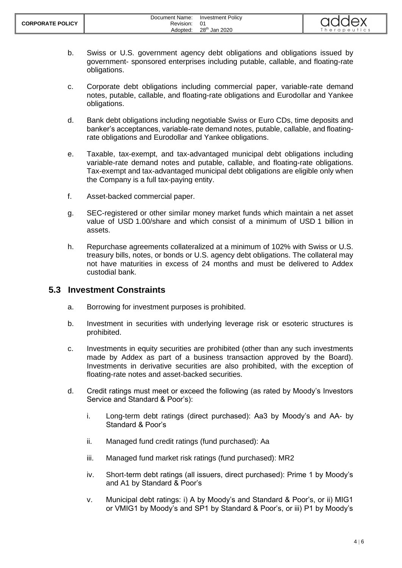

- b. Swiss or U.S. government agency debt obligations and obligations issued by government- sponsored enterprises including putable, callable, and floating-rate obligations.
- c. Corporate debt obligations including commercial paper, variable-rate demand notes, putable, callable, and floating-rate obligations and Eurodollar and Yankee obligations.
- d. Bank debt obligations including negotiable Swiss or Euro CDs, time deposits and banker's acceptances, variable-rate demand notes, putable, callable, and floatingrate obligations and Eurodollar and Yankee obligations.
- e. Taxable, tax-exempt, and tax-advantaged municipal debt obligations including variable-rate demand notes and putable, callable, and floating-rate obligations. Tax-exempt and tax-advantaged municipal debt obligations are eligible only when the Company is a full tax-paying entity.
- f. Asset-backed commercial paper.
- g. SEC-registered or other similar money market funds which maintain a net asset value of USD 1.00/share and which consist of a minimum of USD 1 billion in assets.
- h. Repurchase agreements collateralized at a minimum of 102% with Swiss or U.S. treasury bills, notes, or bonds or U.S. agency debt obligations. The collateral may not have maturities in excess of 24 months and must be delivered to Addex custodial bank.

#### <span id="page-3-0"></span>**5.3 Investment Constraints**

- a. Borrowing for investment purposes is prohibited.
- b. Investment in securities with underlying leverage risk or esoteric structures is prohibited.
- c. Investments in equity securities are prohibited (other than any such investments made by Addex as part of a business transaction approved by the Board). Investments in derivative securities are also prohibited, with the exception of floating-rate notes and asset-backed securities.
- <span id="page-3-1"></span>d. Credit ratings must meet or exceed the following (as rated by Moody's Investors Service and Standard & Poor's):
	- i. Long-term debt ratings (direct purchased): Aa3 by Moody's and AA- by Standard & Poor's
	- ii. Managed fund credit ratings (fund purchased): Aa
	- iii. Managed fund market risk ratings (fund purchased): MR2
	- iv. Short-term debt ratings (all issuers, direct purchased): Prime 1 by Moody's and A1 by Standard & Poor's
	- v. Municipal debt ratings: i) A by Moody's and Standard & Poor's, or ii) MIG1 or VMIG1 by Moody's and SP1 by Standard & Poor's, or iii) P1 by Moody's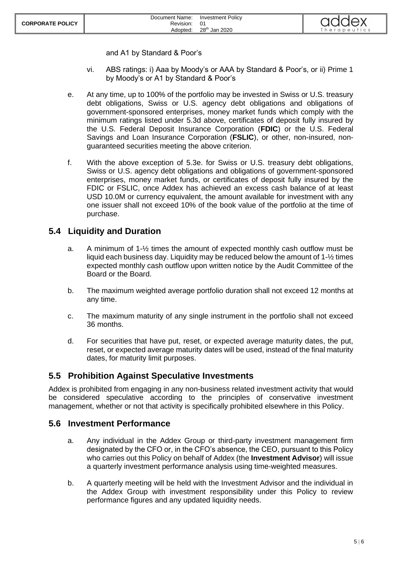and A1 by Standard & Poor's

- vi. ABS ratings: i) Aaa by Moody's or AAA by Standard & Poor's, or ii) Prime 1 by Moody's or A1 by Standard & Poor's
- <span id="page-4-3"></span>e. At any time, up to 100% of the portfolio may be invested in Swiss or U.S. treasury debt obligations, Swiss or U.S. agency debt obligations and obligations of government-sponsored enterprises, money market funds which comply with the minimum ratings listed under [5.3](#page-3-0)[d](#page-3-1) above, certificates of deposit fully insured by the U.S. Federal Deposit Insurance Corporation (**FDIC**) or the U.S. Federal Savings and Loan Insurance Corporation (**FSLIC**), or other, non-insured, nonguaranteed securities meeting the above criterion.
- f. With the above exception of [5.3](#page-3-0)[e.](#page-4-3) for Swiss or U.S. treasury debt obligations, Swiss or U.S. agency debt obligations and obligations of government-sponsored enterprises, money market funds, or certificates of deposit fully insured by the FDIC or FSLIC, once Addex has achieved an excess cash balance of at least USD 10.0M or currency equivalent, the amount available for investment with any one issuer shall not exceed 10% of the book value of the portfolio at the time of purchase.

#### <span id="page-4-0"></span>**5.4 Liquidity and Duration**

- a. A minimum of 1-½ times the amount of expected monthly cash outflow must be liquid each business day. Liquidity may be reduced below the amount of 1-½ times expected monthly cash outflow upon written notice by the Audit Committee of the Board or the Board.
- b. The maximum weighted average portfolio duration shall not exceed 12 months at any time.
- c. The maximum maturity of any single instrument in the portfolio shall not exceed 36 months.
- d. For securities that have put, reset, or expected average maturity dates, the put, reset, or expected average maturity dates will be used, instead of the final maturity dates, for maturity limit purposes.

#### <span id="page-4-1"></span>**5.5 Prohibition Against Speculative Investments**

Addex is prohibited from engaging in any non-business related investment activity that would be considered speculative according to the principles of conservative investment management, whether or not that activity is specifically prohibited elsewhere in this Policy.

#### <span id="page-4-2"></span>**5.6 Investment Performance**

- a. Any individual in the Addex Group or third-party investment management firm designated by the CFO or, in the CFO's absence, the CEO, pursuant to this Policy who carries out this Policy on behalf of Addex (the **Investment Advisor**) will issue a quarterly investment performance analysis using time-weighted measures.
- b. A quarterly meeting will be held with the Investment Advisor and the individual in the Addex Group with investment responsibility under this Policy to review performance figures and any updated liquidity needs.